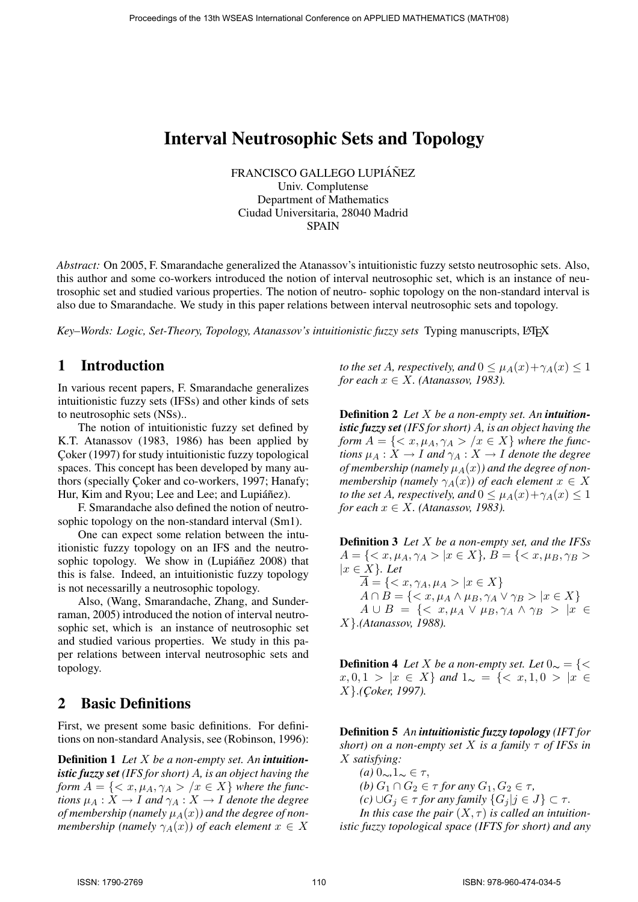## Interval Neutrosophic Sets and Topology

FRANCISCO GALLEGO LUPIÁÑEZ

Univ. Complutense Department of Mathematics Ciudad Universitaria, 28040 Madrid SPAIN

*Abstract:* On 2005, F. Smarandache generalized the Atanassov's intuitionistic fuzzy setsto neutrosophic sets. Also, this author and some co-workers introduced the notion of interval neutrosophic set, which is an instance of neutrosophic set and studied various properties. The notion of neutro- sophic topology on the non-standard interval is also due to Smarandache. We study in this paper relations between interval neutrosophic sets and topology.

Key–Words: Logic, Set-Theory, Topology, Atanassov's intuitionistic fuzzy sets Typing manuscripts, L<sup>AT</sup>EX

## 1 Introduction

In various recent papers, F. Smarandache generalizes intuitionistic fuzzy sets (IFSs) and other kinds of sets to neutrosophic sets (NSs)..

The notion of intuitionistic fuzzy set defined by K.T. Atanassov (1983, 1986) has been applied by Çoker (1997) for study intuitionistic fuzzy topological spaces. This concept has been developed by many authors (specially Coker and co-workers, 1997; Hanafy; Hur, Kim and Ryou; Lee and Lee; and Lupiáñez).

F. Smarandache also defined the notion of neutrosophic topology on the non-standard interval (Sm1).

One can expect some relation between the intuitionistic fuzzy topology on an IFS and the neutrosophic topology. We show in  $(Lupi\hat{a}\hat{\eta}ez 2008)$  that this is false. Indeed, an intuitionistic fuzzy topology is not necessarilly a neutrosophic topology.

Also, (Wang, Smarandache, Zhang, and Sunderraman, 2005) introduced the notion of interval neutrosophic set, which is an instance of neutrosophic set and studied various properties. We study in this paper relations between interval neutrosophic sets and topology.

## 2 Basic Definitions

First, we present some basic definitions. For definitions on non-standard Analysis, see (Robinson, 1996):

Definition 1 *Let* X *be a non-empty set. An intuitionistic fuzzy set (IFS for short)* A*, is an object having the form*  $A = \{ \langle x, \mu_A, \gamma_A \rangle | x \in X \}$  *where the functions*  $\mu_A : X \to I$  *and*  $\gamma_A : X \to I$  *denote the degree of membership (namely*  $\mu_A(x)$ ) and the degree of non*membership (namely*  $\gamma_A(x)$ ) of each element  $x \in X$ 

*to the set* A*, respectively, and*  $0 \leq \mu_A(x) + \gamma_A(x) \leq 1$ *for each*  $x \in X$ *. (Atanassov, 1983).* 

Definition 2 *Let* X *be a non-empty set. An intuitionistic fuzzy set (IFS for short)* A*, is an object having the form*  $A = \{ \langle x, \mu_A, \gamma_A \rangle | x \in X \}$  *where the functions*  $\mu_A : X \to I$  *and*  $\gamma_A : X \to I$  *denote the degree of membership (namely*  $\mu_A(x)$ ) and the degree of non*membership (namely*  $\gamma_A(x)$ ) of each element  $x \in X$ *to the set* A*, respectively, and*  $0 \leq \mu_A(x) + \gamma_A(x) \leq 1$ *for each*  $x \in X$ *. (Atanassov, 1983).* 

Definition 3 *Let* X *be a non-empty set, and the IFSs*  $A = \{ \langle x, \mu_A, \gamma_A \rangle | x \in X \}, B = \{ \langle x, \mu_B, \gamma_B \rangle \}$ |x ∈ X}*. Let*  $\overline{A} = \{ \langle x, \gamma_A, \mu_A \rangle \mid x \in X \}$  $A \cap B = \{ \langle x, \mu_A \wedge \mu_B, \gamma_A \vee \gamma_B \rangle \ | x \in X \}$  $A \cup B = \{ \langle x, \mu_A \lor \mu_B, \gamma_A \land \gamma_B \rangle \mid x \in$ X}.*(Atanassov, 1988).*

**Definition 4** *Let* X *be a non-empty set. Let*  $0 \sim$  = {<  $x, 0, 1 > |x \in X$  *and*  $1_\sim = \{  |x \in X$ X}.*(C¸ oker, 1997).*

Definition 5 *An intuitionistic fuzzy topology (IFT for short) on a non-empty set* X *is a family* τ *of IFSs in* X *satisfying:*

*(a)* 0∼*,*1<sup>∼</sup> ∈ τ, *(b)*  $G_1 \cap G_2 \in \tau$  *for any*  $G_1, G_2 \in \tau$ *, (c)*  $\cup G_i \in \tau$  *for any family*  $\{G_i | j \in J\} \subset \tau$ . *In this case the pair*  $(X, \tau)$  *is called an intuitionistic fuzzy topological space (IFTS for short) and any*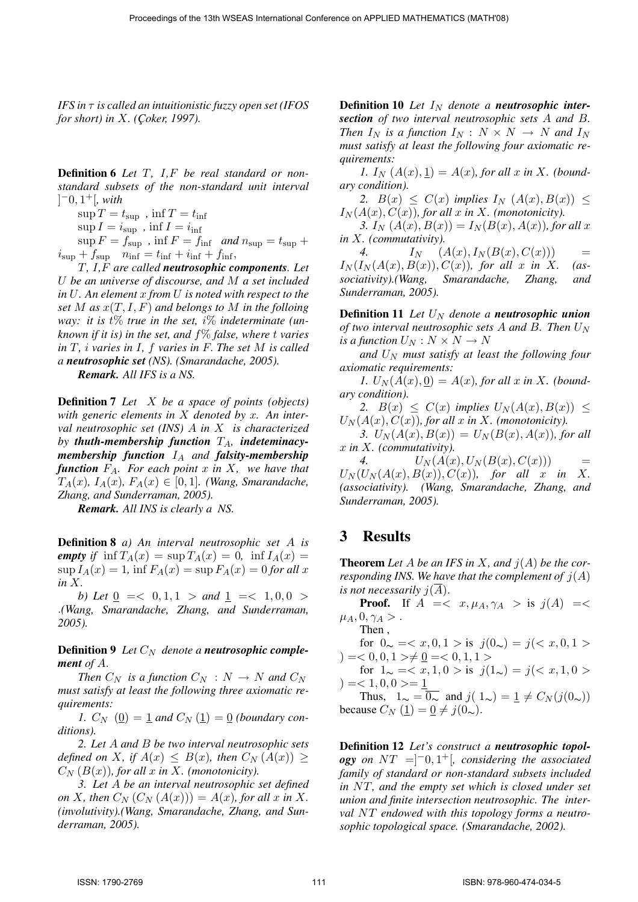*IFS in* τ *is called an intuitionistic fuzzy open set (IFOS for short) in X. (Coker, 1997).* 

Definition 6 *Let* T*,* I*,*F *be real standard or nonstandard subsets of the non-standard unit interval*  $[-0, 1^+]$ , with

 $\sup T = t_{\sup}$ ,  $\inf T = t_{\inf}$ 

 $\sup I = i_{\sup}$ ,  $\inf I = i_{\inf}$ 

 $\sup F = f_{\sup}$ ,  $\inf F = f_{\inf}$  *and*  $n_{\sup} = t_{\sup} +$  $i_{\text{sup}} + f_{\text{sup}}$   $n_{\text{inf}} = t_{\text{inf}} + i_{\text{inf}} + f_{\text{inf}}$ ,

T*,* I*,*F *are called neutrosophic components. Let* U *be an universe of discourse, and* M *a set included in* U*. An element* x *from* U *is noted with respect to the set*  $M$  *as*  $x(T, I, F)$  *and belongs to*  $M$  *in the folloing way: it is* t% *true in the set,* i% *indeterminate (unknown if it is) in the set, and* f% *false, where* t *varies in* T*,* i *varies in* I*,* f *varies in* F. *The set* M *is called a neutrosophic set (NS). (Smarandache, 2005).*

*Remark. All IFS is a NS.*

Definition 7 *Let* X *be a space of points (objects) with generic elements in* X *denoted by* x*. An interval neutrosophic set (INS)* A *in* X *is characterized* by *thuth-membership* function  $T_A$ , *indeteminacymembership function* I<sup>A</sup> *and falsity-membership function* FA*. For each point* x *in* X*, we have that*  $T_A(x)$ ,  $I_A(x)$ ,  $F_A(x) \in [0,1]$ . (Wang, Smarandache, *Zhang, and Sunderraman, 2005).*

*Remark. All INS is clearly a NS.*

Definition 8 *a) An interval neutrosophic set* A *is empty if*  $\inf T_A(x) = \sup T_A(x) = 0$ ,  $\inf T_A(x) = 0$  $\sup I_A(x) = 1$ ,  $\inf F_A(x) = \sup F_A(x) = 0$  *for all* x *in* X.

*b)* Let  $0 \leq 0, 1, 1 >$  and  $1 \leq 1, 0, 0 >$ .*(Wang, Smarandache, Zhang, and Sunderraman, 2005).*

**Definition 9** Let  $C_N$  denote a *neutrosophic complement of* A.

*Then*  $C_N$  *is a function*  $C_N : N \to N$  *and*  $C_N$ *must satisfy at least the following three axiomatic requirements:*

*1.*  $C_N$  (0) = 1 *and*  $C_N$  (1) = 0 *(boundary conditions).*

*2. Let* A *and* B *be two interval neutrosophic sets defined on* X, if  $A(x) \leq B(x)$ , then  $C_N(A(x)) \geq$  $C_N(B(x))$ , for all x in X. (monotonicity).

*3. Let* A *be an interval neutrosophic set defined on* X, then  $C_N$   $(C_N(A(x))) = A(x)$ , for all x in X. *(involutivity).(Wang, Smarandache, Zhang, and Sunderraman, 2005).*

**Definition 10** Let  $I_N$  denote a **neutrosophic inter***section of two interval neutrosophic sets* A *and* B*. Then*  $I_N$  *is a function*  $I_N$  :  $N \times N \rightarrow N$  *and*  $I_N$ *must satisfy at least the following four axiomatic requirements:*

*1.*  $I_N(A(x),1) = A(x)$ , for all x in X. (bound*ary condition).*

2.  $B(x) \leq C(x)$  *implies*  $I_N(\mathcal{A}(x), \mathcal{B}(x)) \leq$  $I_N(A(x), C(x))$ , for all x in X. (monotonicity).

3.  $I_N(A(x), B(x)) = I_N(B(x), A(x))$ *, for all x in* X*. (commutativity).*

4.  $I_N \t (A(x), I_N(B(x), C(x))) =$  $I_N(I_N(A(x),B(x)),C(x))$ , for all x in X. (as*sociativity).(Wang, Smarandache, Zhang, and Sunderraman, 2005).*

**Definition 11** Let  $U_N$  denote a *neutrosophic union of two interval neutrosophic sets* A *and* B. Then  $U<sub>N</sub>$ *is a function*  $U_N : N \times N \to N$ 

*and* U<sup>N</sup> *must satisfy at least the following four axiomatic requirements:*

1.  $U_N(A(x),0) = A(x)$ , for all x in X. (bound*ary condition).*

2.  $B(x) \leq C(x)$  *implies*  $U_N(A(x), B(x)) \leq$  $U_N(A(x), C(x))$ , for all x in X. (monotonicity).

3.  $U_N(A(x), B(x)) = U_N(B(x), A(x))$ , for all x *in* X*. (commutativity).*

4.  $U_N(A(x), U_N(B(x), C(x)))$  =  $U_N(U_N(A(x),B(x)),C(x))$ , for all x in X. *(associativity). (Wang, Smarandache, Zhang, and Sunderraman, 2005).*

## 3 Results

**Theorem** Let A be an IFS in X, and  $j(A)$  be the cor*responding INS. We have that the complement of*  $j(A)$ *is not necessarily*  $j(A)$ .

**Proof.** If  $A = \langle x, \mu_A, \gamma_A \rangle$  is  $j(A) = \langle x, \mu_A, \gamma_A \rangle$  $\mu_A$ ,  $0$ ,  $\gamma_A >$ .

Then , for  $0 \sim \frac{-1}{x}, 0, 1 > \text{is } j(0 \sim) = j \leq x, 0, 1 >$  $) = 0, 0, 1 > 0 = 0, 1, 1 > 0$ for  $1_{\sim} = \langle x, 1, 0 \rangle$  is  $j(1_{\sim}) = j(\langle x, 1, 0 \rangle)$  $) = <1, 0, 0> = 1$ 

Thus,  $1_{\sim} = \overline{0_{\sim}}$  and  $j(1_{\sim}) = \underline{1} \neq C_N(j(0_{\sim}))$ because  $C_N$  (1) = 0  $\neq j(0)$ .

Definition 12 *Let's construct a neutrosophic topology on* NT =]−0, 1 <sup>+</sup>[*, considering the associated family of standard or non-standard subsets included in* NT*, and the empty set which is closed under set union and finite intersection neutrosophic. The interval* NT *endowed with this topology forms a neutrosophic topological space. (Smarandache, 2002).*